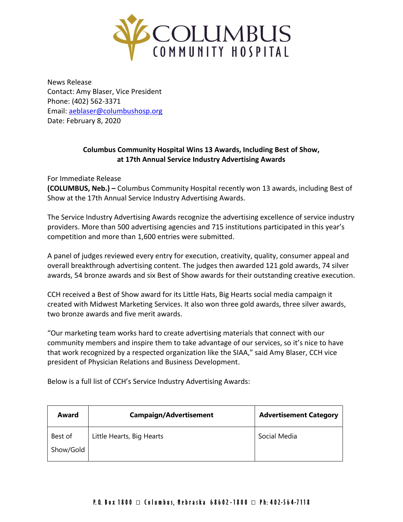

News Release Contact: Amy Blaser, Vice President Phone: (402) 562-3371 Email: [aeblaser@columbushosp.org](mailto:aeblaser@columbushosp.org) Date: February 8, 2020

## **Columbus Community Hospital Wins 13 Awards, Including Best of Show, at 17th Annual Service Industry Advertising Awards**

For Immediate Release

**(COLUMBUS, Neb.) –** Columbus Community Hospital recently won 13 awards, including Best of Show at the 17th Annual Service Industry Advertising Awards.

The Service Industry Advertising Awards recognize the advertising excellence of service industry providers. More than 500 advertising agencies and 715 institutions participated in this year's competition and more than 1,600 entries were submitted.

A panel of judges reviewed every entry for execution, creativity, quality, consumer appeal and overall breakthrough advertising content. The judges then awarded 121 gold awards, 74 silver awards, 54 bronze awards and six Best of Show awards for their outstanding creative execution.

CCH received a Best of Show award for its Little Hats, Big Hearts social media campaign it created with Midwest Marketing Services. It also won three gold awards, three silver awards, two bronze awards and five merit awards.

"Our marketing team works hard to create advertising materials that connect with our community members and inspire them to take advantage of our services, so it's nice to have that work recognized by a respected organization like the SIAA," said Amy Blaser, CCH vice president of Physician Relations and Business Development.

Below is a full list of CCH's Service Industry Advertising Awards:

| Award                | <b>Campaign/Advertisement</b> | <b>Advertisement Category</b> |
|----------------------|-------------------------------|-------------------------------|
| Best of<br>Show/Gold | Little Hearts, Big Hearts     | Social Media                  |